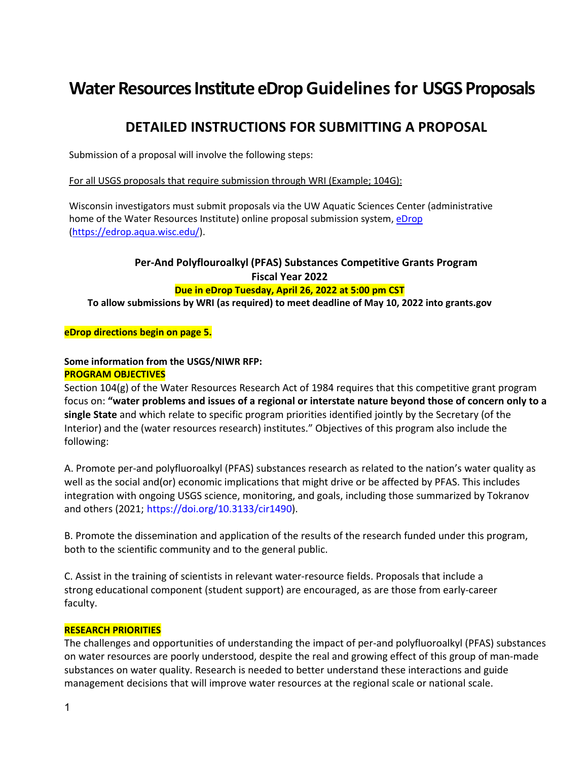# **Water Resources Institute eDrop Guidelines for USGS Proposals**

# **DETAILED INSTRUCTIONS FOR SUBMITTING A PROPOSAL**

Submission of a proposal will involve the following steps:

For all USGS proposals that require submission through WRI (Example; 104G):

Wisconsin investigators must submit proposals via the UW Aquatic Sciences Center (administrative home of the Water Resources Institute) online proposal submission system[, eDrop](https://edrop.aqua.wisc.edu/) [\(https://edrop.aqua.wisc.edu/\)](https://edrop.aqua.wisc.edu/).

# **Per-And Polyflouroalkyl (PFAS) Substances Competitive Grants Program Fiscal Year 2022**

**Due in eDrop Tuesday, April 26, 2022 at 5:00 pm CST**

**To allow submissions by WRI (as required) to meet deadline of May 10, 2022 into grants.gov**

**eDrop directions begin on page 5.**

**Some information from the USGS/NIWR RFP: PROGRAM OBJECTIVES**

Section 104(g) of the Water Resources Research Act of 1984 requires that this competitive grant program focus on: **"water problems and issues of a regional or interstate nature beyond those of concern only to a single State** and which relate to specific program priorities identified jointly by the Secretary (of the Interior) and the (water resources research) institutes." Objectives of this program also include the following:

A. Promote per-and polyfluoroalkyl (PFAS) substances research as related to the nation's water quality as well as the social and(or) economic implications that might drive or be affected by PFAS. This includes integration with ongoing USGS science, monitoring, and goals, including those summarized by Tokranov and others (2021; https://doi.org/10.3133/cir1490).

B. Promote the dissemination and application of the results of the research funded under this program, both to the scientific community and to the general public.

C. Assist in the training of scientists in relevant water-resource fields. Proposals that include a strong educational component (student support) are encouraged, as are those from early-career faculty.

### **RESEARCH PRIORITIES**

The challenges and opportunities of understanding the impact of per-and polyfluoroalkyl (PFAS) substances on water resources are poorly understood, despite the real and growing effect of this group of man-made substances on water quality. Research is needed to better understand these interactions and guide management decisions that will improve water resources at the regional scale or national scale.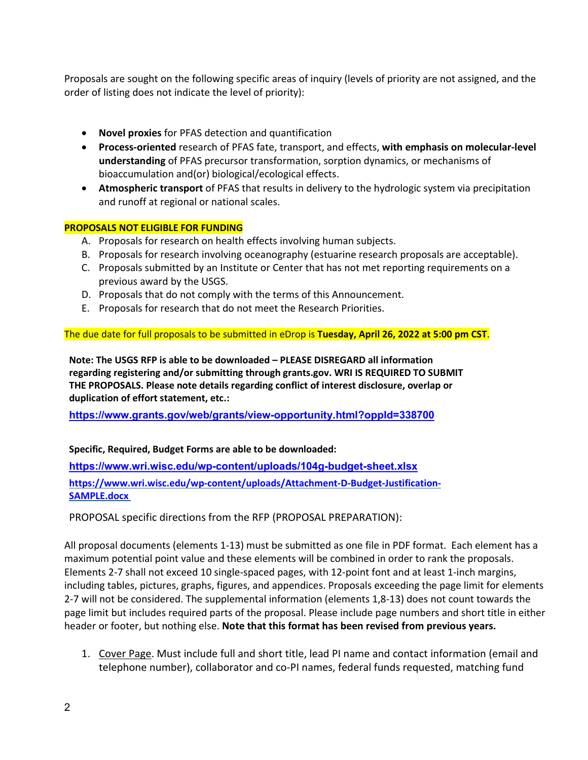Proposals are sought on the following specific areas of inquiry (levels of priority are not assigned, and the order of listing does not indicate the level of priority):

- **Novel proxies** for PFAS detection and quantification
- **Process-oriented** research of PFAS fate, transport, and effects, **with emphasis on molecular-level understanding** of PFAS precursor transformation, sorption dynamics, or mechanisms of bioaccumulation and(or) biological/ecological effects.
- **Atmospheric transport** of PFAS that results in delivery to the hydrologic system via precipitation and runoff at regional or national scales.

#### **PROPOSALS NOT ELIGIBLE FOR FUNDING**

- A. Proposals for research on health effects involving human subjects.
- B. Proposals for research involving oceanography (estuarine research proposals are acceptable).
- C. Proposals submitted by an Institute or Center that has not met reporting requirements on a previous award by the USGS.
- D. Proposals that do not comply with the terms of this Announcement.
- E. Proposals for research that do not meet the Research Priorities.

The due date for full proposals to be submitted in eDrop is **Tuesday, April 26, 2022 at 5:00 pm CST**.

**Note: The USGS RFP is able to be downloaded – PLEASE DISREGARD all information regarding registering and/or submitting through grants.gov. WRI IS REQUIRED TO SUBMIT THE PROPOSALS. Please note details regarding conflict of interest disclosure, overlap or duplication of effort statement, etc.:** 

**<https://www.grants.gov/web/grants/view-opportunity.html?oppId=338700>**

#### **Specific, Required, Budget Forms are able to be downloaded:**

**<https://www.wri.wisc.edu/wp-content/uploads/104g-budget-sheet.xlsx> https://www.wri.wisc.edu/wp-content/uploads/Attachment-D-Budget-Justification-SAMPLE.docx**

PROPOSAL specific directions from the RFP (PROPOSAL PREPARATION):

All proposal documents (elements 1-13) must be submitted as one file in PDF format. Each element has a maximum potential point value and these elements will be combined in order to rank the proposals. Elements 2-7 shall not exceed 10 single-spaced pages, with 12-point font and at least 1-inch margins, including tables, pictures, graphs, figures, and appendices. Proposals exceeding the page limit for elements 2-7 will not be considered. The supplemental information (elements 1,8-13) does not count towards the page limit but includes required parts of the proposal. Please include page numbers and short title in either header or footer, but nothing else. **Note that this format has been revised from previous years.**

1. Cover Page. Must include full and short title, lead PI name and contact information (email and telephone number), collaborator and co-PI names, federal funds requested, matching fund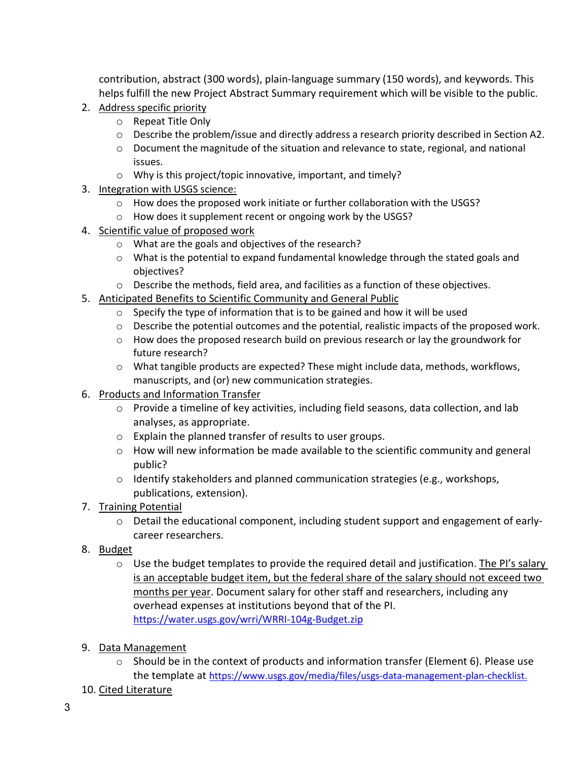contribution, abstract (300 words), plain-language summary (150 words), and keywords. This helps fulfill the new Project Abstract Summary requirement which will be visible to the public.

- 2. Address specific priority
	- o Repeat Title Only
	- o Describe the problem/issue and directly address a research priority described in Section A2.
	- o Document the magnitude of the situation and relevance to state, regional, and national issues.
	- o Why is this project/topic innovative, important, and timely?
- 3. Integration with USGS science:
	- o How does the proposed work initiate or further collaboration with the USGS?
	- o How does it supplement recent or ongoing work by the USGS?
- 4. Scientific value of proposed work
	- o What are the goals and objectives of the research?
	- $\circ$  What is the potential to expand fundamental knowledge through the stated goals and objectives?
	- o Describe the methods, field area, and facilities as a function of these objectives.
- 5. Anticipated Benefits to Scientific Community and General Public
	- o Specify the type of information that is to be gained and how it will be used
	- $\circ$  Describe the potential outcomes and the potential, realistic impacts of the proposed work.
	- o How does the proposed research build on previous research or lay the groundwork for future research?
	- $\circ$  What tangible products are expected? These might include data, methods, workflows, manuscripts, and (or) new communication strategies.
- 6. Products and Information Transfer
	- $\circ$  Provide a timeline of key activities, including field seasons, data collection, and lab analyses, as appropriate.
	- o Explain the planned transfer of results to user groups.
	- $\circ$  How will new information be made available to the scientific community and general public?
	- $\circ$  Identify stakeholders and planned communication strategies (e.g., workshops, publications, extension).
- 7. Training Potential
	- o Detail the educational component, including student support and engagement of earlycareer researchers.
- 8. Budget
	- $\circ$  Use the budget templates to provide the required detail and justification. The PI's salary is an acceptable budget item, but the federal share of the salary should not exceed two months per year. Document salary for other staff and researchers, including any overhead expenses at institutions beyond that of the PI. <https://water.usgs.gov/wrri/WRRI-104g-Budget.zip>
- 9. Data Management
	- $\circ$  Should be in the context of products and information transfer (Element 6). Please use the template at https://www.usgs.gov/media/files/usgs-data-management-plan-checklist.
- 10. Cited Literature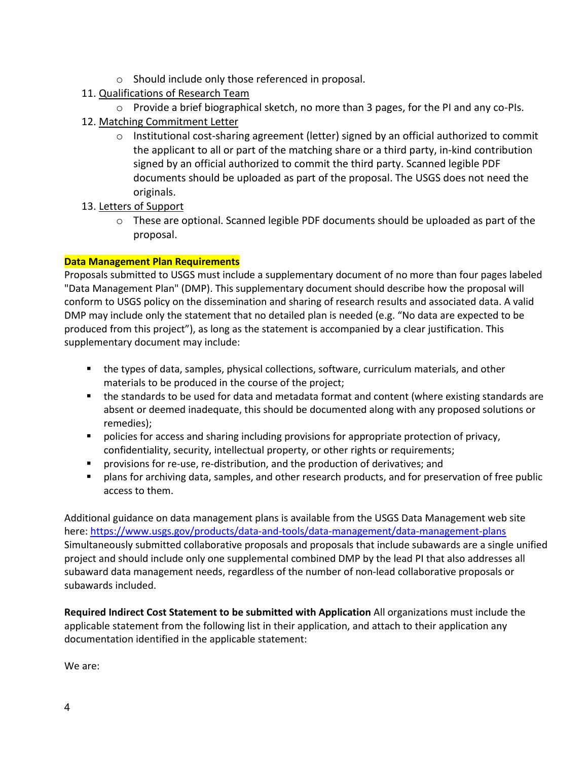- o Should include only those referenced in proposal.
- 11. Qualifications of Research Team
- $\circ$  Provide a brief biographical sketch, no more than 3 pages, for the PI and any co-PIs.
- 12. Matching Commitment Letter
	- $\circ$  Institutional cost-sharing agreement (letter) signed by an official authorized to commit the applicant to all or part of the matching share or a third party, in-kind contribution signed by an official authorized to commit the third party. Scanned legible PDF documents should be uploaded as part of the proposal. The USGS does not need the originals.
- 13. Letters of Support
	- o These are optional. Scanned legible PDF documents should be uploaded as part of the proposal.

### **Data Management Plan Requirements**

Proposals submitted to USGS must include a supplementary document of no more than four pages labeled "Data Management Plan" (DMP). This supplementary document should describe how the proposal will conform to USGS policy on the dissemination and sharing of research results and associated data. A valid DMP may include only the statement that no detailed plan is needed (e.g. "No data are expected to be produced from this project"), as long as the statement is accompanied by a clear justification. This supplementary document may include:

- the types of data, samples, physical collections, software, curriculum materials, and other materials to be produced in the course of the project;
- the standards to be used for data and metadata format and content (where existing standards are absent or deemed inadequate, this should be documented along with any proposed solutions or remedies);
- **Permion increases and shart and and an** provisions for appropriate protection of privacy, confidentiality, security, intellectual property, or other rights or requirements;
- **Perovisions for re-use, re-distribution, and the production of derivatives; and**
- plans for archiving data, samples, and other research products, and for preservation of free public access to them.

Additional guidance on data management plans is available from the USGS Data Management web site here:<https://www.usgs.gov/products/data-and-tools/data-management/data-management-plans> Simultaneously submitted collaborative proposals and proposals that include subawards are a single unified project and should include only one supplemental combined DMP by the lead PI that also addresses all subaward data management needs, regardless of the number of non-lead collaborative proposals or subawards included.

**Required Indirect Cost Statement to be submitted with Application** All organizations must include the applicable statement from the following list in their application, and attach to their application any documentation identified in the applicable statement:

We are: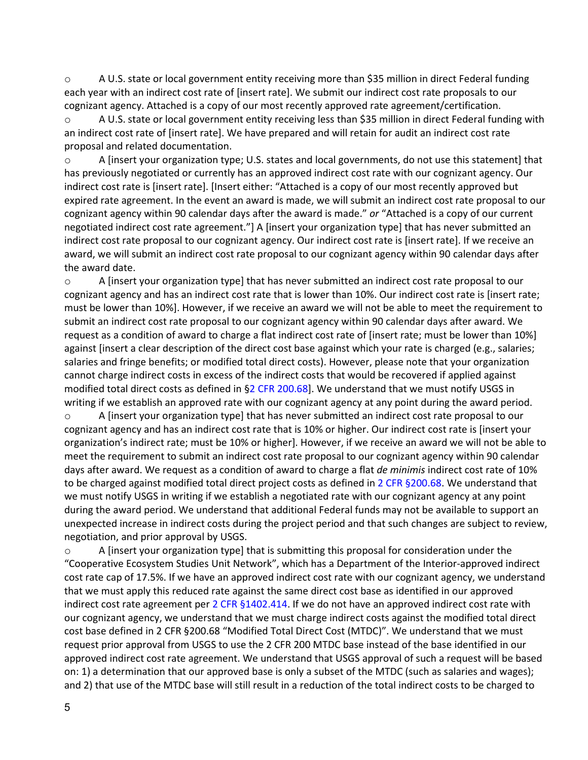o A U.S. state or local government entity receiving more than \$35 million in direct Federal funding each year with an indirect cost rate of [insert rate]. We submit our indirect cost rate proposals to our cognizant agency. Attached is a copy of our most recently approved rate agreement/certification.

o A U.S. state or local government entity receiving less than \$35 million in direct Federal funding with an indirect cost rate of [insert rate]. We have prepared and will retain for audit an indirect cost rate proposal and related documentation.

o A [insert your organization type; U.S. states and local governments, do not use this statement] that has previously negotiated or currently has an approved indirect cost rate with our cognizant agency. Our indirect cost rate is [insert rate]. [Insert either: "Attached is a copy of our most recently approved but expired rate agreement. In the event an award is made, we will submit an indirect cost rate proposal to our cognizant agency within 90 calendar days after the award is made." *or* "Attached is a copy of our current negotiated indirect cost rate agreement."] A [insert your organization type] that has never submitted an indirect cost rate proposal to our cognizant agency. Our indirect cost rate is [insert rate]. If we receive an award, we will submit an indirect cost rate proposal to our cognizant agency within 90 calendar days after the award date.

 $\circ$  A [insert your organization type] that has never submitted an indirect cost rate proposal to our cognizant agency and has an indirect cost rate that is lower than 10%. Our indirect cost rate is [insert rate; must be lower than 10%]. However, if we receive an award we will not be able to meet the requirement to submit an indirect cost rate proposal to our cognizant agency within 90 calendar days after award. We request as a condition of award to charge a flat indirect cost rate of [insert rate; must be lower than 10%] against [insert a clear description of the direct cost base against which your rate is charged (e.g., salaries; salaries and fringe benefits; or modified total direct costs). However, please note that your organization cannot charge indirect costs in excess of the indirect costs that would be recovered if applied against modified total direct costs as defined in  $\S2$  CFR 200.68]. We understand that we must notify USGS in writing if we establish an approved rate with our cognizant agency at any point during the award period.

o A [insert your organization type] that has never submitted an indirect cost rate proposal to our cognizant agency and has an indirect cost rate that is 10% or higher. Our indirect cost rate is [insert your organization's indirect rate; must be 10% or higher]. However, if we receive an award we will not be able to meet the requirement to submit an indirect cost rate proposal to our cognizant agency within 90 calendar days after award. We request as a condition of award to charge a flat *de minimis* indirect cost rate of 10% to be charged against modified total direct project costs as defined in 2 CFR §200.68. We understand that we must notify USGS in writing if we establish a negotiated rate with our cognizant agency at any point during the award period. We understand that additional Federal funds may not be available to support an unexpected increase in indirect costs during the project period and that such changes are subject to review, negotiation, and prior approval by USGS.

o A [insert your organization type] that is submitting this proposal for consideration under the "Cooperative Ecosystem Studies Unit Network", which has a Department of the Interior-approved indirect cost rate cap of 17.5%. If we have an approved indirect cost rate with our cognizant agency, we understand that we must apply this reduced rate against the same direct cost base as identified in our approved indirect cost rate agreement per 2 CFR §1402.414. If we do not have an approved indirect cost rate with our cognizant agency, we understand that we must charge indirect costs against the modified total direct cost base defined in 2 CFR §200.68 "Modified Total Direct Cost (MTDC)". We understand that we must request prior approval from USGS to use the 2 CFR 200 MTDC base instead of the base identified in our approved indirect cost rate agreement. We understand that USGS approval of such a request will be based on: 1) a determination that our approved base is only a subset of the MTDC (such as salaries and wages); and 2) that use of the MTDC base will still result in a reduction of the total indirect costs to be charged to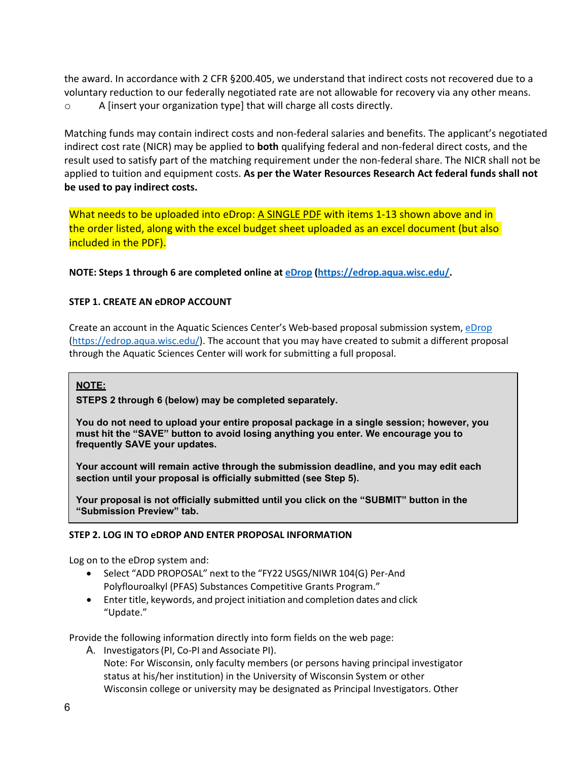the award. In accordance with 2 CFR §200.405, we understand that indirect costs not recovered due to a voluntary reduction to our federally negotiated rate are not allowable for recovery via any other means. o A [insert your organization type] that will charge all costs directly.

Matching funds may contain indirect costs and non-federal salaries and benefits. The applicant's negotiated indirect cost rate (NICR) may be applied to **both** qualifying federal and non-federal direct costs, and the result used to satisfy part of the matching requirement under the non-federal share. The NICR shall not be applied to tuition and equipment costs. **As per the Water Resources Research Act federal funds shall not be used to pay indirect costs.**

What needs to be uploaded into eDrop: A SINGLE PDF with items 1-13 shown above and in the order listed, along with the excel budget sheet uploaded as an excel document (but also included in the PDF).

**NOTE: Steps 1 through 6 are completed online at [eDrop](https://edrop.aqua.wisc.edu/) [\(https://edrop.aqua.wisc.edu/.](https://edrop.aqua.wisc.edu/)**

#### **STEP 1. CREATE AN eDROP ACCOUNT**

Create an account in the Aquatic Sciences Center's Web-based proposal submission system[, eDrop](https://edrop.aqua.wisc.edu/) [\(https://edrop.aqua.wisc.edu/\)](https://edrop.aqua.wisc.edu/). The account that you may have created to submit a different proposal through the Aquatic Sciences Center will work for submitting a full proposal.

#### **NOTE:**

**STEPS 2 through 6 (below) may be completed separately.**

**You do not need to upload your entire proposal package in a single session; however, you must hit the "SAVE" button to avoid losing anything you enter. We encourage you to frequently SAVE your updates.**

**Your account will remain active through the submission deadline, and you may edit each section until your proposal is officially submitted (see Step 5).**

**Your proposal is not officially submitted until you click on the "SUBMIT" button in the "Submission Preview" tab.**

#### **STEP 2. LOG IN TO eDROP AND ENTER PROPOSAL INFORMATION**

Log on to the eDrop system and:

- Select "ADD PROPOSAL" next to the "FY22 USGS/NIWR 104(G) Per-And Polyflouroalkyl (PFAS) Substances Competitive Grants Program."
- Enter title, keywords, and project initiation and completion dates and click "Update."

Provide the following information directly into form fields on the web page:

A. Investigators(PI, Co-PI and Associate PI). Note: For Wisconsin, only faculty members (or persons having principal investigator status at his/her institution) in the University of Wisconsin System or other Wisconsin college or university may be designated as Principal Investigators. Other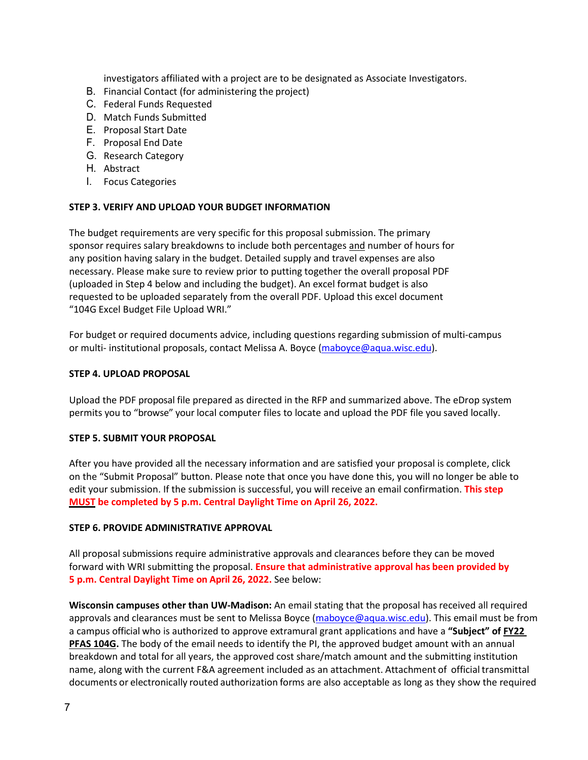investigators affiliated with a project are to be designated as Associate Investigators.

- B. Financial Contact (for administering the project)
- C. Federal Funds Requested
- D. Match Funds Submitted
- E. Proposal Start Date
- F. Proposal End Date
- G. Research Category
- H. Abstract
- I. Focus Categories

#### **STEP 3. VERIFY AND UPLOAD YOUR BUDGET INFORMATION**

The budget requirements are very specific for this proposal submission. The primary sponsor requires salary breakdowns to include both percentages and number of hours for any position having salary in the budget. Detailed supply and travel expenses are also necessary. Please make sure to review prior to putting together the overall proposal PDF (uploaded in Step 4 below and including the budget). An excel format budget is also requested to be uploaded separately from the overall PDF. Upload this excel document "104G Excel Budget File Upload WRI."

For budget or required documents advice, including questions regarding submission of multi-campus or multi- institutional proposals, contact Melissa A. Boyce [\(maboyce@aqua.wisc.edu\)](mailto:maboyce@aqua.wisc.edu).

#### **STEP 4. UPLOAD PROPOSAL**

Upload the PDF proposal file prepared as directed in the RFP and summarized above. The eDrop system permits you to "browse" your local computer files to locate and upload the PDF file you saved locally.

#### **STEP 5. SUBMIT YOUR PROPOSAL**

After you have provided all the necessary information and are satisfied your proposal is complete, click on the "Submit Proposal" button. Please note that once you have done this, you will no longer be able to edit your submission. If the submission is successful, you will receive an email confirmation. **This step MUST be completed by 5 p.m. Central Daylight Time on April 26, 2022.**

#### **STEP 6. PROVIDE ADMINISTRATIVE APPROVAL**

All proposal submissions require administrative approvals and clearances before they can be moved forward with WRI submitting the proposal. **Ensure that administrative approval has been provided by 5 p.m. Central Daylight Time on April 26, 2022.** See below:

**Wisconsin campuses other than UW-Madison:** An email stating that the proposal has received all required approvals and clearances must be sent to Melissa Boyce [\(maboyce@aqua.wisc.edu\)](mailto:maboyce@aqua.wisc.edu). This email must be from a campus official who is authorized to approve extramural grant applications and have a **"Subject" of FY22 PFAS 104G.** The body of the email needs to identify the PI, the approved budget amount with an annual breakdown and total for all years, the approved cost share/match amount and the submitting institution name, along with the current F&A agreement included as an attachment. Attachment of official transmittal documents or electronically routed authorization forms are also acceptable as long as they show the required